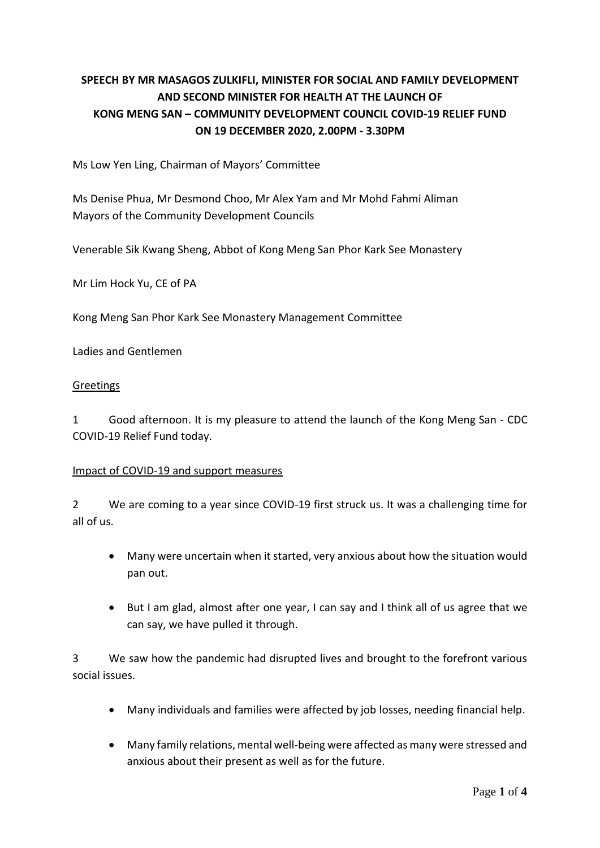# **SPEECH BY MR MASAGOS ZULKIFLI, MINISTER FOR SOCIAL AND FAMILY DEVELOPMENT AND SECOND MINISTER FOR HEALTH AT THE LAUNCH OF KONG MENG SAN – COMMUNITY DEVELOPMENT COUNCIL COVID-19 RELIEF FUND ON 19 DECEMBER 2020, 2.00PM - 3.30PM**

Ms Low Yen Ling, Chairman of Mayors' Committee

Ms Denise Phua, Mr Desmond Choo, Mr Alex Yam and Mr Mohd Fahmi Aliman Mayors of the Community Development Councils

Venerable Sik Kwang Sheng, Abbot of Kong Meng San Phor Kark See Monastery

Mr Lim Hock Yu, CE of PA

Kong Meng San Phor Kark See Monastery Management Committee

Ladies and Gentlemen

#### **Greetings**

1 Good afternoon. It is my pleasure to attend the launch of the Kong Meng San - CDC COVID-19 Relief Fund today.

#### Impact of COVID-19 and support measures

2 We are coming to a year since COVID-19 first struck us. It was a challenging time for all of us.

- Many were uncertain when it started, very anxious about how the situation would pan out.
- But I am glad, almost after one year, I can say and I think all of us agree that we can say, we have pulled it through.

3 We saw how the pandemic had disrupted lives and brought to the forefront various social issues.

- Many individuals and families were affected by job losses, needing financial help.
- Many family relations, mental well-being were affected as many were stressed and anxious about their present as well as for the future.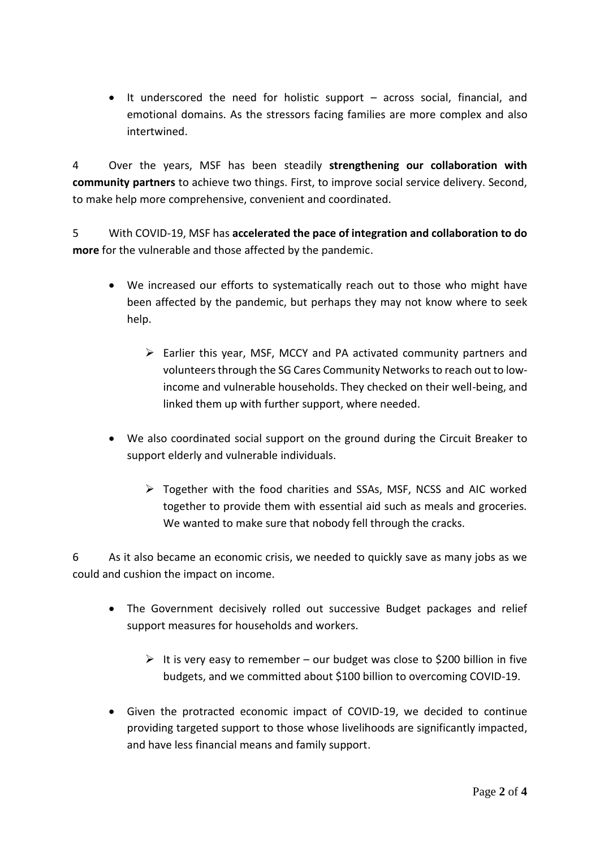• It underscored the need for holistic support – across social, financial, and emotional domains. As the stressors facing families are more complex and also intertwined.

4 Over the years, MSF has been steadily **strengthening our collaboration with community partners** to achieve two things. First, to improve social service delivery. Second, to make help more comprehensive, convenient and coordinated.

5 With COVID-19, MSF has **accelerated the pace of integration and collaboration to do more** for the vulnerable and those affected by the pandemic.

- We increased our efforts to systematically reach out to those who might have been affected by the pandemic, but perhaps they may not know where to seek help.
	- $\triangleright$  Earlier this year, MSF, MCCY and PA activated community partners and volunteers through the SG Cares Community Networks to reach out to lowincome and vulnerable households. They checked on their well-being, and linked them up with further support, where needed.
- We also coordinated social support on the ground during the Circuit Breaker to support elderly and vulnerable individuals.
	- ➢ Together with the food charities and SSAs, MSF, NCSS and AIC worked together to provide them with essential aid such as meals and groceries. We wanted to make sure that nobody fell through the cracks.

6 As it also became an economic crisis, we needed to quickly save as many jobs as we could and cushion the impact on income.

- The Government decisively rolled out successive Budget packages and relief support measures for households and workers.
	- $\triangleright$  It is very easy to remember our budget was close to \$200 billion in five budgets, and we committed about \$100 billion to overcoming COVID-19.
- Given the protracted economic impact of COVID-19, we decided to continue providing targeted support to those whose livelihoods are significantly impacted, and have less financial means and family support.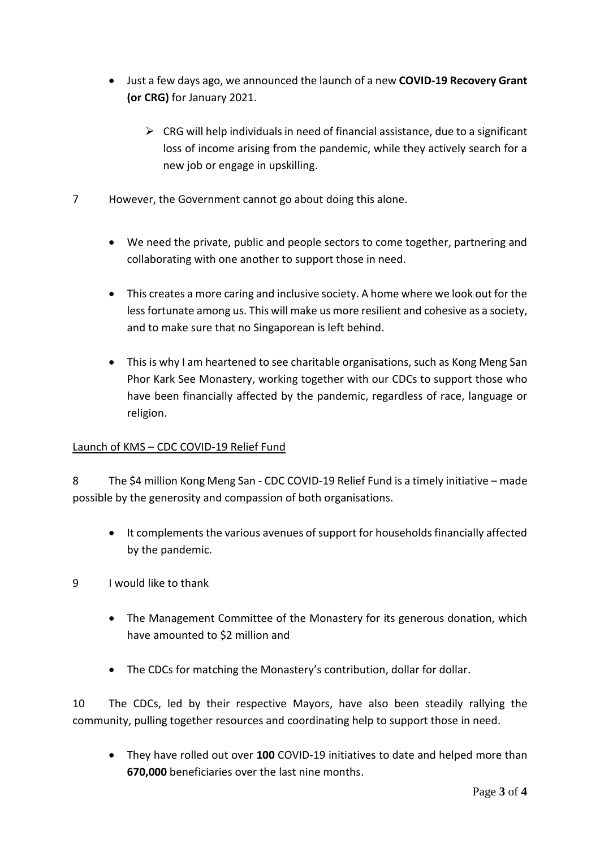- Just a few days ago, we announced the launch of a new **COVID-19 Recovery Grant (or CRG)** for January 2021.
	- ➢ CRG will help individuals in need of financial assistance, due to a significant loss of income arising from the pandemic, while they actively search for a new job or engage in upskilling.
- 7 However, the Government cannot go about doing this alone.
	- We need the private, public and people sectors to come together, partnering and collaborating with one another to support those in need.
	- This creates a more caring and inclusive society. A home where we look out for the less fortunate among us. This will make us more resilient and cohesive as a society, and to make sure that no Singaporean is left behind.
	- This is why I am heartened to see charitable organisations, such as Kong Meng San Phor Kark See Monastery, working together with our CDCs to support those who have been financially affected by the pandemic, regardless of race, language or religion.

### Launch of KMS – CDC COVID-19 Relief Fund

8 The \$4 million Kong Meng San - CDC COVID-19 Relief Fund is a timely initiative – made possible by the generosity and compassion of both organisations.

- It complements the various avenues of support for households financially affected by the pandemic.
- 9 I would like to thank
	- The Management Committee of the Monastery for its generous donation, which have amounted to \$2 million and
	- The CDCs for matching the Monastery's contribution, dollar for dollar.

10 The CDCs, led by their respective Mayors, have also been steadily rallying the community, pulling together resources and coordinating help to support those in need.

• They have rolled out over **100** COVID-19 initiatives to date and helped more than **670,000** beneficiaries over the last nine months.